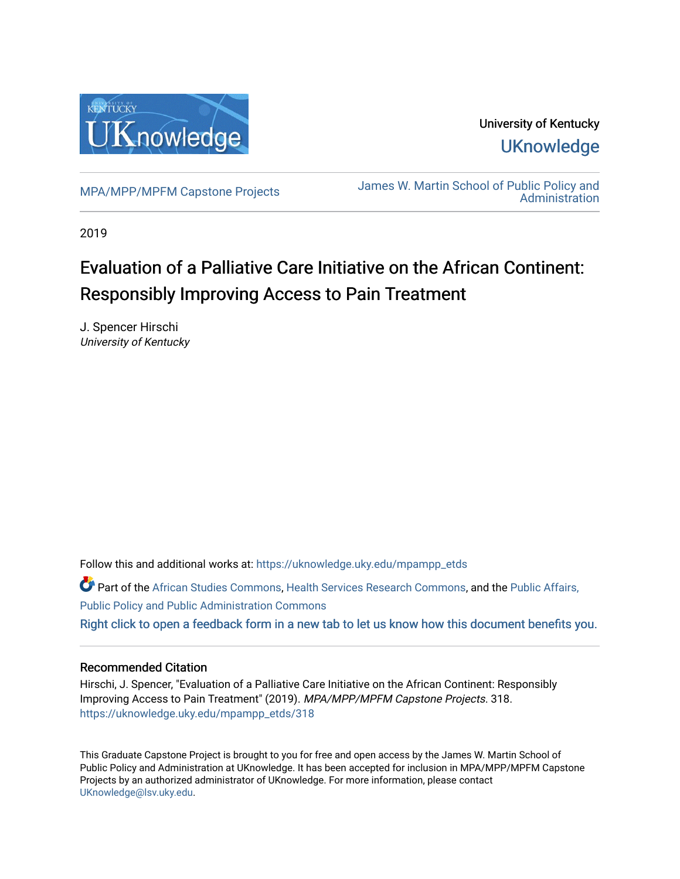

University of Kentucky **UKnowledge** 

[MPA/MPP/MPFM Capstone Projects](https://uknowledge.uky.edu/mpampp_etds) James W. Martin School of Public Policy and **Administration** 

2019

# Evaluation of a Palliative Care Initiative on the African Continent: Responsibly Improving Access to Pain Treatment

J. Spencer Hirschi University of Kentucky

Follow this and additional works at: [https://uknowledge.uky.edu/mpampp\\_etds](https://uknowledge.uky.edu/mpampp_etds?utm_source=uknowledge.uky.edu%2Fmpampp_etds%2F318&utm_medium=PDF&utm_campaign=PDFCoverPages)

Part of the [African Studies Commons,](http://network.bepress.com/hgg/discipline/1043?utm_source=uknowledge.uky.edu%2Fmpampp_etds%2F318&utm_medium=PDF&utm_campaign=PDFCoverPages) [Health Services Research Commons,](http://network.bepress.com/hgg/discipline/816?utm_source=uknowledge.uky.edu%2Fmpampp_etds%2F318&utm_medium=PDF&utm_campaign=PDFCoverPages) and the [Public Affairs,](http://network.bepress.com/hgg/discipline/393?utm_source=uknowledge.uky.edu%2Fmpampp_etds%2F318&utm_medium=PDF&utm_campaign=PDFCoverPages)  [Public Policy and Public Administration Commons](http://network.bepress.com/hgg/discipline/393?utm_source=uknowledge.uky.edu%2Fmpampp_etds%2F318&utm_medium=PDF&utm_campaign=PDFCoverPages) [Right click to open a feedback form in a new tab to let us know how this document benefits you.](https://uky.az1.qualtrics.com/jfe/form/SV_9mq8fx2GnONRfz7)

# Recommended Citation

Hirschi, J. Spencer, "Evaluation of a Palliative Care Initiative on the African Continent: Responsibly Improving Access to Pain Treatment" (2019). MPA/MPP/MPFM Capstone Projects. 318. [https://uknowledge.uky.edu/mpampp\\_etds/318](https://uknowledge.uky.edu/mpampp_etds/318?utm_source=uknowledge.uky.edu%2Fmpampp_etds%2F318&utm_medium=PDF&utm_campaign=PDFCoverPages)

This Graduate Capstone Project is brought to you for free and open access by the James W. Martin School of Public Policy and Administration at UKnowledge. It has been accepted for inclusion in MPA/MPP/MPFM Capstone Projects by an authorized administrator of UKnowledge. For more information, please contact [UKnowledge@lsv.uky.edu.](mailto:UKnowledge@lsv.uky.edu)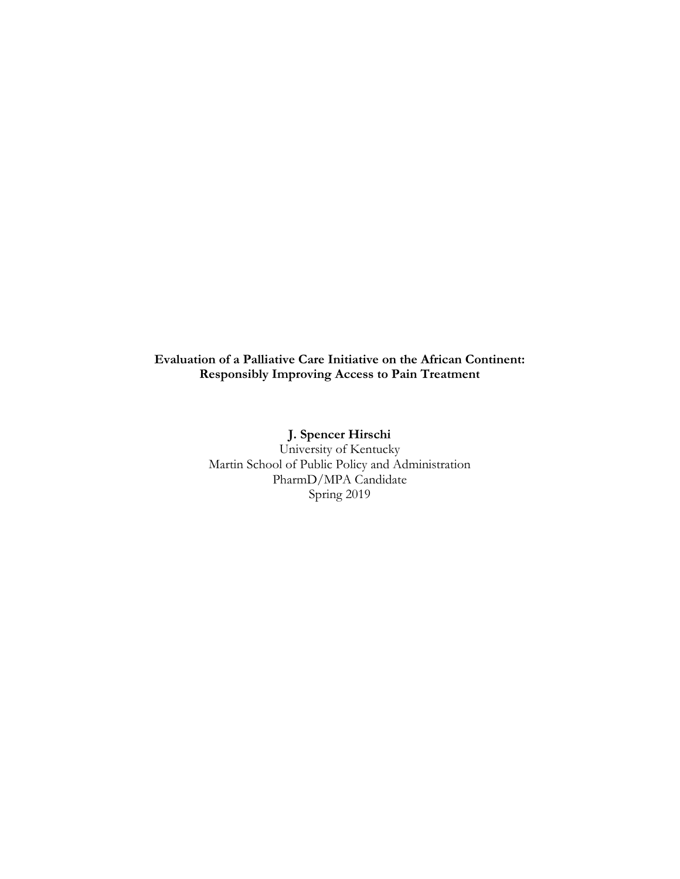# **Evaluation of a Palliative Care Initiative on the African Continent: Responsibly Improving Access to Pain Treatment**

**J. Spencer Hirschi** University of Kentucky Martin School of Public Policy and Administration PharmD/MPA Candidate Spring 2019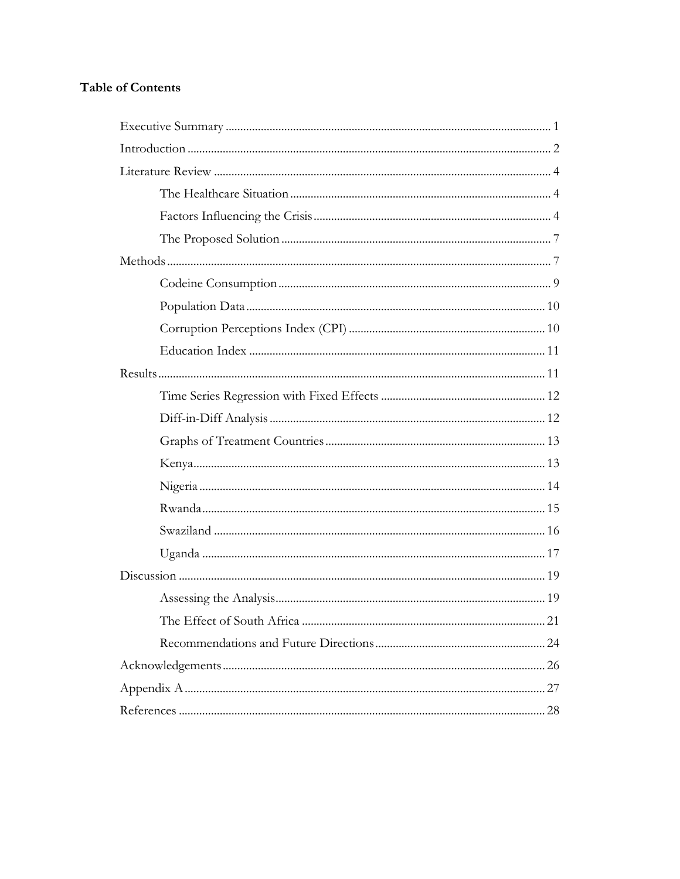# **Table of Contents**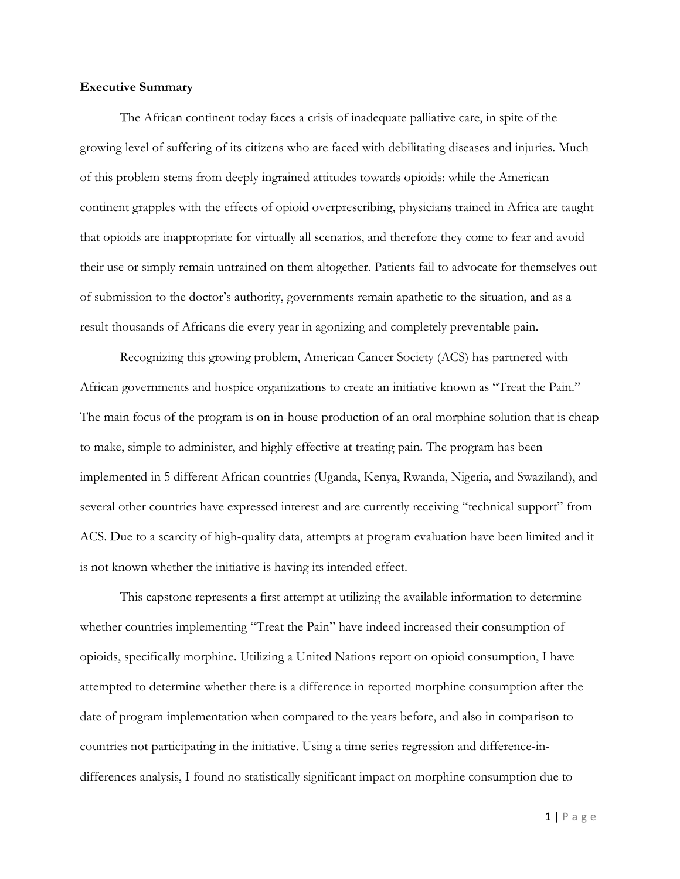#### **Executive Summary**

The African continent today faces a crisis of inadequate palliative care, in spite of the growing level of suffering of its citizens who are faced with debilitating diseases and injuries. Much of this problem stems from deeply ingrained attitudes towards opioids: while the American continent grapples with the effects of opioid overprescribing, physicians trained in Africa are taught that opioids are inappropriate for virtually all scenarios, and therefore they come to fear and avoid their use or simply remain untrained on them altogether. Patients fail to advocate for themselves out of submission to the doctor's authority, governments remain apathetic to the situation, and as a result thousands of Africans die every year in agonizing and completely preventable pain.

Recognizing this growing problem, American Cancer Society (ACS) has partnered with African governments and hospice organizations to create an initiative known as "Treat the Pain." The main focus of the program is on in-house production of an oral morphine solution that is cheap to make, simple to administer, and highly effective at treating pain. The program has been implemented in 5 different African countries (Uganda, Kenya, Rwanda, Nigeria, and Swaziland), and several other countries have expressed interest and are currently receiving "technical support" from ACS. Due to a scarcity of high-quality data, attempts at program evaluation have been limited and it is not known whether the initiative is having its intended effect.

This capstone represents a first attempt at utilizing the available information to determine whether countries implementing "Treat the Pain" have indeed increased their consumption of opioids, specifically morphine. Utilizing a United Nations report on opioid consumption, I have attempted to determine whether there is a difference in reported morphine consumption after the date of program implementation when compared to the years before, and also in comparison to countries not participating in the initiative. Using a time series regression and difference-indifferences analysis, I found no statistically significant impact on morphine consumption due to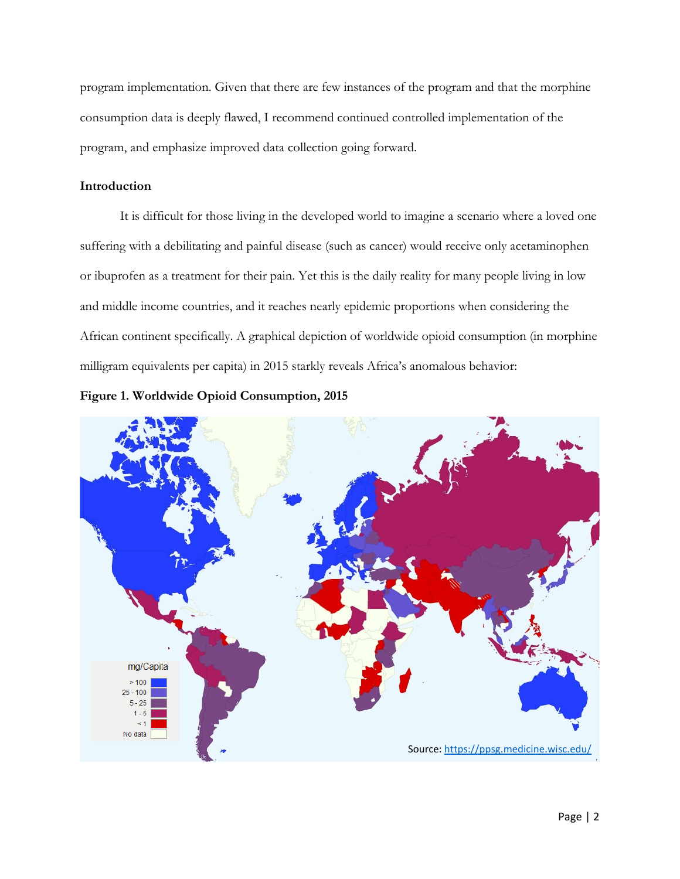program implementation. Given that there are few instances of the program and that the morphine consumption data is deeply flawed, I recommend continued controlled implementation of the program, and emphasize improved data collection going forward.

## **Introduction**

It is difficult for those living in the developed world to imagine a scenario where a loved one suffering with a debilitating and painful disease (such as cancer) would receive only acetaminophen or ibuprofen as a treatment for their pain. Yet this is the daily reality for many people living in low and middle income countries, and it reaches nearly epidemic proportions when considering the African continent specifically. A graphical depiction of worldwide opioid consumption (in morphine milligram equivalents per capita) in 2015 starkly reveals Africa's anomalous behavior:



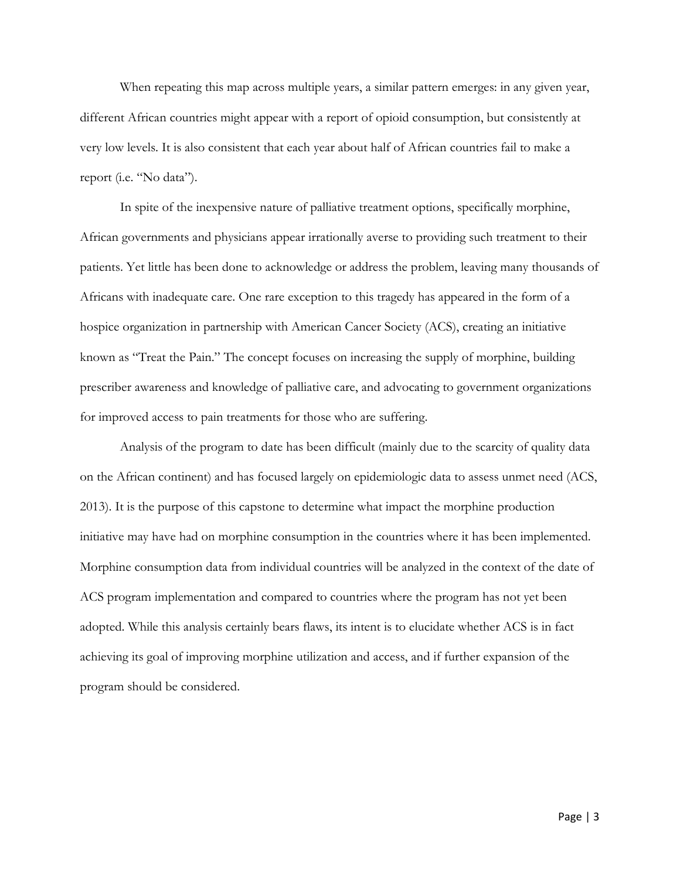When repeating this map across multiple years, a similar pattern emerges: in any given year, different African countries might appear with a report of opioid consumption, but consistently at very low levels. It is also consistent that each year about half of African countries fail to make a report (i.e. "No data").

In spite of the inexpensive nature of palliative treatment options, specifically morphine, African governments and physicians appear irrationally averse to providing such treatment to their patients. Yet little has been done to acknowledge or address the problem, leaving many thousands of Africans with inadequate care. One rare exception to this tragedy has appeared in the form of a hospice organization in partnership with American Cancer Society (ACS), creating an initiative known as "Treat the Pain." The concept focuses on increasing the supply of morphine, building prescriber awareness and knowledge of palliative care, and advocating to government organizations for improved access to pain treatments for those who are suffering.

Analysis of the program to date has been difficult (mainly due to the scarcity of quality data on the African continent) and has focused largely on epidemiologic data to assess unmet need (ACS, 2013). It is the purpose of this capstone to determine what impact the morphine production initiative may have had on morphine consumption in the countries where it has been implemented. Morphine consumption data from individual countries will be analyzed in the context of the date of ACS program implementation and compared to countries where the program has not yet been adopted. While this analysis certainly bears flaws, its intent is to elucidate whether ACS is in fact achieving its goal of improving morphine utilization and access, and if further expansion of the program should be considered.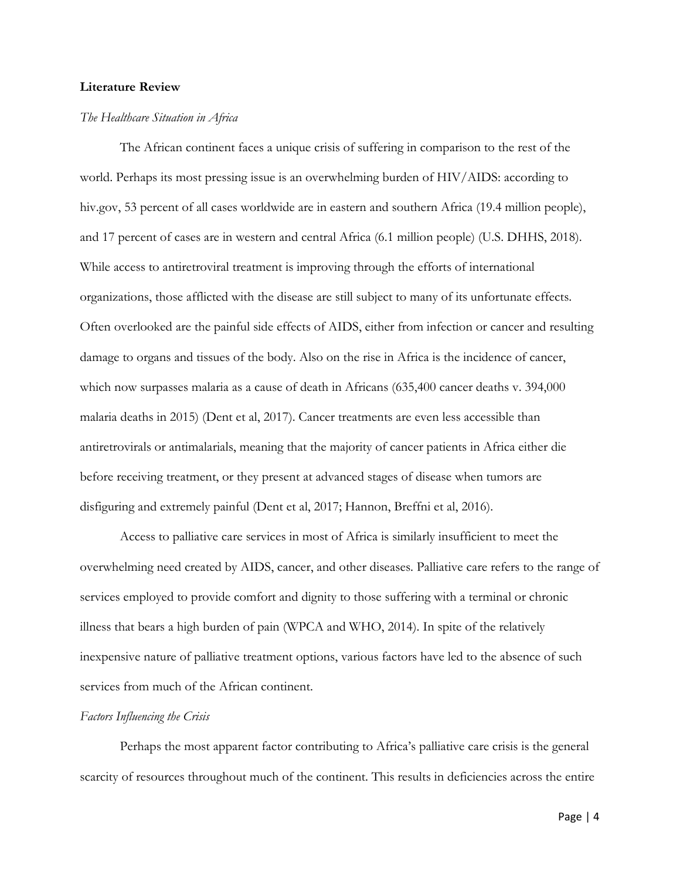#### **Literature Review**

#### *The Healthcare Situation in Africa*

The African continent faces a unique crisis of suffering in comparison to the rest of the world. Perhaps its most pressing issue is an overwhelming burden of HIV/AIDS: according to hiv.gov, 53 percent of all cases worldwide are in eastern and southern Africa (19.4 million people), and 17 percent of cases are in western and central Africa (6.1 million people) (U.S. DHHS, 2018). While access to antiretroviral treatment is improving through the efforts of international organizations, those afflicted with the disease are still subject to many of its unfortunate effects. Often overlooked are the painful side effects of AIDS, either from infection or cancer and resulting damage to organs and tissues of the body. Also on the rise in Africa is the incidence of cancer, which now surpasses malaria as a cause of death in Africans (635,400 cancer deaths v. 394,000 malaria deaths in 2015) (Dent et al, 2017). Cancer treatments are even less accessible than antiretrovirals or antimalarials, meaning that the majority of cancer patients in Africa either die before receiving treatment, or they present at advanced stages of disease when tumors are disfiguring and extremely painful (Dent et al, 2017; Hannon, Breffni et al, 2016).

Access to palliative care services in most of Africa is similarly insufficient to meet the overwhelming need created by AIDS, cancer, and other diseases. Palliative care refers to the range of services employed to provide comfort and dignity to those suffering with a terminal or chronic illness that bears a high burden of pain (WPCA and WHO, 2014). In spite of the relatively inexpensive nature of palliative treatment options, various factors have led to the absence of such services from much of the African continent.

### *Factors Influencing the Crisis*

Perhaps the most apparent factor contributing to Africa's palliative care crisis is the general scarcity of resources throughout much of the continent. This results in deficiencies across the entire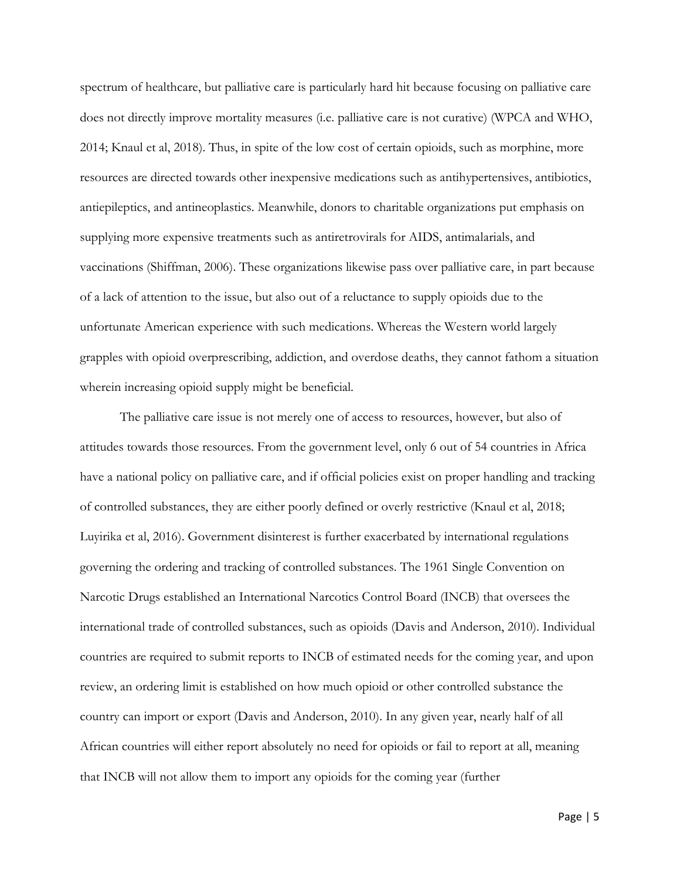spectrum of healthcare, but palliative care is particularly hard hit because focusing on palliative care does not directly improve mortality measures (i.e. palliative care is not curative) (WPCA and WHO, 2014; Knaul et al, 2018). Thus, in spite of the low cost of certain opioids, such as morphine, more resources are directed towards other inexpensive medications such as antihypertensives, antibiotics, antiepileptics, and antineoplastics. Meanwhile, donors to charitable organizations put emphasis on supplying more expensive treatments such as antiretrovirals for AIDS, antimalarials, and vaccinations (Shiffman, 2006). These organizations likewise pass over palliative care, in part because of a lack of attention to the issue, but also out of a reluctance to supply opioids due to the unfortunate American experience with such medications. Whereas the Western world largely grapples with opioid overprescribing, addiction, and overdose deaths, they cannot fathom a situation wherein increasing opioid supply might be beneficial.

The palliative care issue is not merely one of access to resources, however, but also of attitudes towards those resources. From the government level, only 6 out of 54 countries in Africa have a national policy on palliative care, and if official policies exist on proper handling and tracking of controlled substances, they are either poorly defined or overly restrictive (Knaul et al, 2018; Luyirika et al, 2016). Government disinterest is further exacerbated by international regulations governing the ordering and tracking of controlled substances. The 1961 Single Convention on Narcotic Drugs established an International Narcotics Control Board (INCB) that oversees the international trade of controlled substances, such as opioids (Davis and Anderson, 2010). Individual countries are required to submit reports to INCB of estimated needs for the coming year, and upon review, an ordering limit is established on how much opioid or other controlled substance the country can import or export (Davis and Anderson, 2010). In any given year, nearly half of all African countries will either report absolutely no need for opioids or fail to report at all, meaning that INCB will not allow them to import any opioids for the coming year (further

Page | 5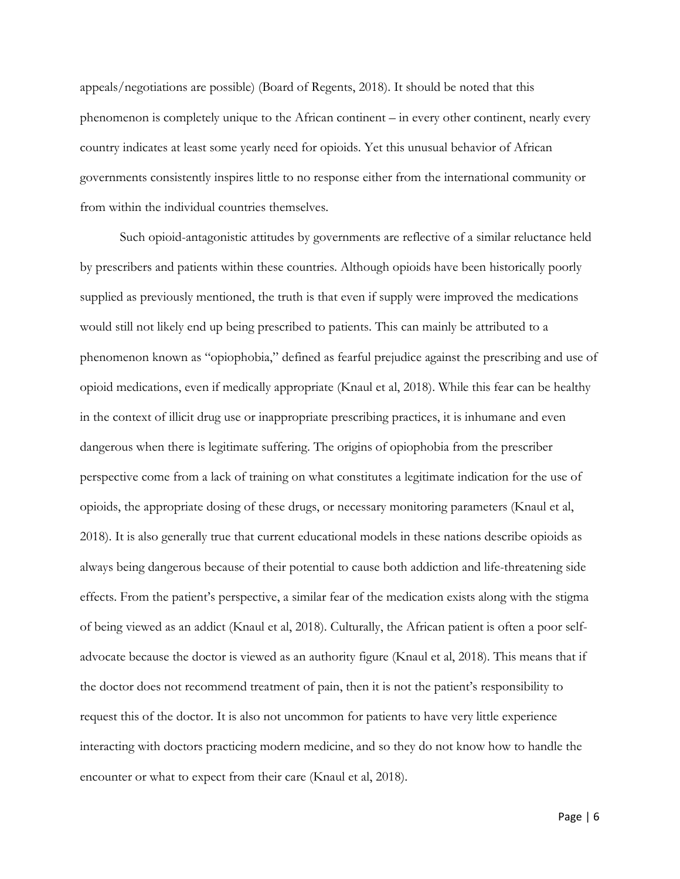appeals/negotiations are possible) (Board of Regents, 2018). It should be noted that this phenomenon is completely unique to the African continent – in every other continent, nearly every country indicates at least some yearly need for opioids. Yet this unusual behavior of African governments consistently inspires little to no response either from the international community or from within the individual countries themselves.

Such opioid-antagonistic attitudes by governments are reflective of a similar reluctance held by prescribers and patients within these countries. Although opioids have been historically poorly supplied as previously mentioned, the truth is that even if supply were improved the medications would still not likely end up being prescribed to patients. This can mainly be attributed to a phenomenon known as "opiophobia," defined as fearful prejudice against the prescribing and use of opioid medications, even if medically appropriate (Knaul et al, 2018). While this fear can be healthy in the context of illicit drug use or inappropriate prescribing practices, it is inhumane and even dangerous when there is legitimate suffering. The origins of opiophobia from the prescriber perspective come from a lack of training on what constitutes a legitimate indication for the use of opioids, the appropriate dosing of these drugs, or necessary monitoring parameters (Knaul et al, 2018). It is also generally true that current educational models in these nations describe opioids as always being dangerous because of their potential to cause both addiction and life-threatening side effects. From the patient's perspective, a similar fear of the medication exists along with the stigma of being viewed as an addict (Knaul et al, 2018). Culturally, the African patient is often a poor selfadvocate because the doctor is viewed as an authority figure (Knaul et al, 2018). This means that if the doctor does not recommend treatment of pain, then it is not the patient's responsibility to request this of the doctor. It is also not uncommon for patients to have very little experience interacting with doctors practicing modern medicine, and so they do not know how to handle the encounter or what to expect from their care (Knaul et al, 2018).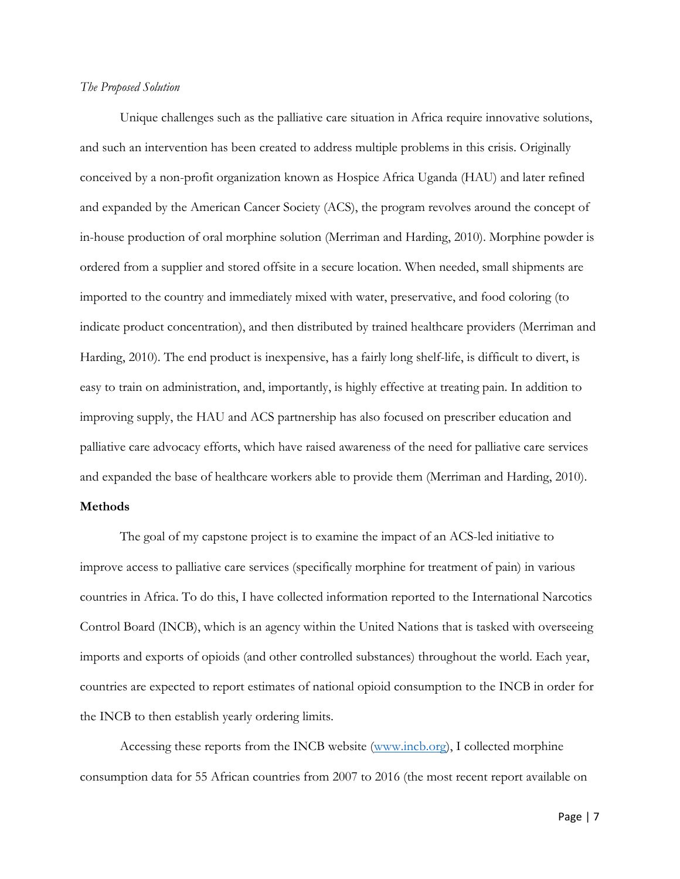#### *The Proposed Solution*

Unique challenges such as the palliative care situation in Africa require innovative solutions, and such an intervention has been created to address multiple problems in this crisis. Originally conceived by a non-profit organization known as Hospice Africa Uganda (HAU) and later refined and expanded by the American Cancer Society (ACS), the program revolves around the concept of in-house production of oral morphine solution (Merriman and Harding, 2010). Morphine powder is ordered from a supplier and stored offsite in a secure location. When needed, small shipments are imported to the country and immediately mixed with water, preservative, and food coloring (to indicate product concentration), and then distributed by trained healthcare providers (Merriman and Harding, 2010). The end product is inexpensive, has a fairly long shelf-life, is difficult to divert, is easy to train on administration, and, importantly, is highly effective at treating pain. In addition to improving supply, the HAU and ACS partnership has also focused on prescriber education and palliative care advocacy efforts, which have raised awareness of the need for palliative care services and expanded the base of healthcare workers able to provide them (Merriman and Harding, 2010).

## **Methods**

The goal of my capstone project is to examine the impact of an ACS-led initiative to improve access to palliative care services (specifically morphine for treatment of pain) in various countries in Africa. To do this, I have collected information reported to the International Narcotics Control Board (INCB), which is an agency within the United Nations that is tasked with overseeing imports and exports of opioids (and other controlled substances) throughout the world. Each year, countries are expected to report estimates of national opioid consumption to the INCB in order for the INCB to then establish yearly ordering limits.

Accessing these reports from the INCB website [\(www.incb.org\)](http://www.incb.org/), I collected morphine consumption data for 55 African countries from 2007 to 2016 (the most recent report available on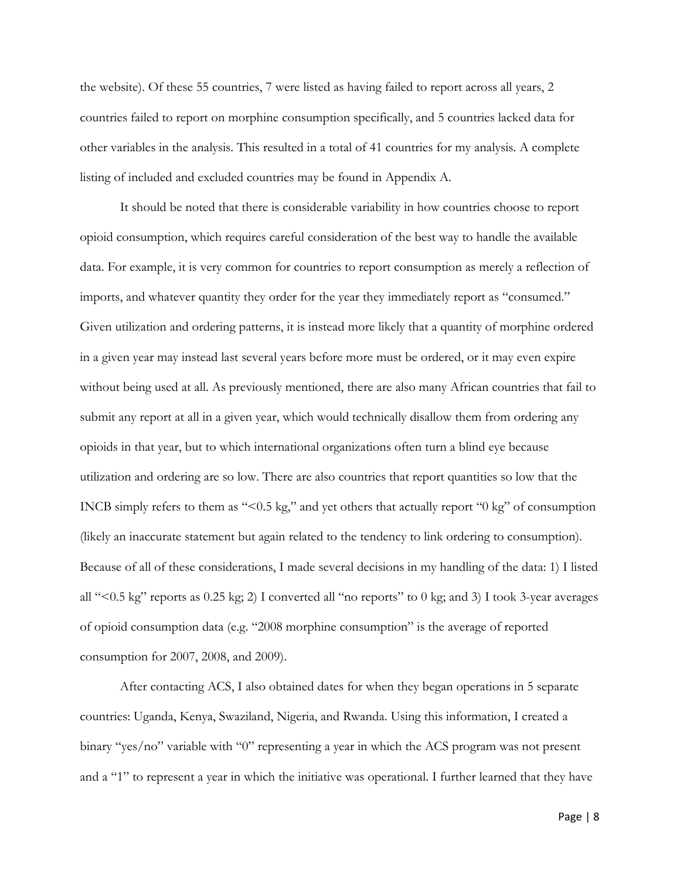the website). Of these 55 countries, 7 were listed as having failed to report across all years, 2 countries failed to report on morphine consumption specifically, and 5 countries lacked data for other variables in the analysis. This resulted in a total of 41 countries for my analysis. A complete listing of included and excluded countries may be found in Appendix A.

It should be noted that there is considerable variability in how countries choose to report opioid consumption, which requires careful consideration of the best way to handle the available data. For example, it is very common for countries to report consumption as merely a reflection of imports, and whatever quantity they order for the year they immediately report as "consumed." Given utilization and ordering patterns, it is instead more likely that a quantity of morphine ordered in a given year may instead last several years before more must be ordered, or it may even expire without being used at all. As previously mentioned, there are also many African countries that fail to submit any report at all in a given year, which would technically disallow them from ordering any opioids in that year, but to which international organizations often turn a blind eye because utilization and ordering are so low. There are also countries that report quantities so low that the INCB simply refers to them as "<0.5 kg," and yet others that actually report "0 kg" of consumption (likely an inaccurate statement but again related to the tendency to link ordering to consumption). Because of all of these considerations, I made several decisions in my handling of the data: 1) I listed all "<0.5 kg" reports as 0.25 kg; 2) I converted all "no reports" to 0 kg; and 3) I took 3-year averages of opioid consumption data (e.g. "2008 morphine consumption" is the average of reported consumption for 2007, 2008, and 2009).

After contacting ACS, I also obtained dates for when they began operations in 5 separate countries: Uganda, Kenya, Swaziland, Nigeria, and Rwanda. Using this information, I created a binary "yes/no" variable with "0" representing a year in which the ACS program was not present and a "1" to represent a year in which the initiative was operational. I further learned that they have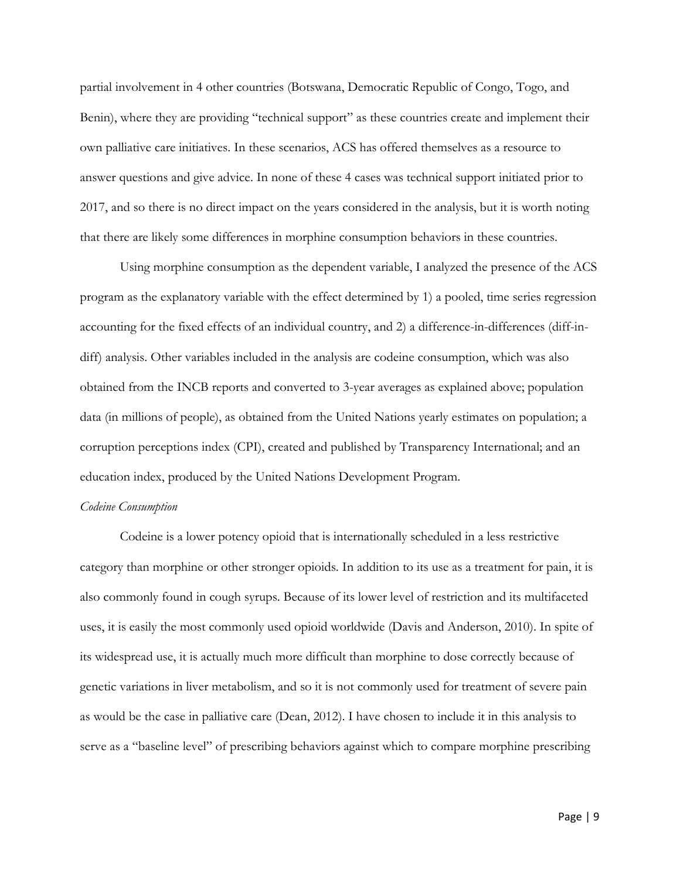partial involvement in 4 other countries (Botswana, Democratic Republic of Congo, Togo, and Benin), where they are providing "technical support" as these countries create and implement their own palliative care initiatives. In these scenarios, ACS has offered themselves as a resource to answer questions and give advice. In none of these 4 cases was technical support initiated prior to 2017, and so there is no direct impact on the years considered in the analysis, but it is worth noting that there are likely some differences in morphine consumption behaviors in these countries.

Using morphine consumption as the dependent variable, I analyzed the presence of the ACS program as the explanatory variable with the effect determined by 1) a pooled, time series regression accounting for the fixed effects of an individual country, and 2) a difference-in-differences (diff-indiff) analysis. Other variables included in the analysis are codeine consumption, which was also obtained from the INCB reports and converted to 3-year averages as explained above; population data (in millions of people), as obtained from the United Nations yearly estimates on population; a corruption perceptions index (CPI), created and published by Transparency International; and an education index, produced by the United Nations Development Program.

#### *Codeine Consumption*

Codeine is a lower potency opioid that is internationally scheduled in a less restrictive category than morphine or other stronger opioids. In addition to its use as a treatment for pain, it is also commonly found in cough syrups. Because of its lower level of restriction and its multifaceted uses, it is easily the most commonly used opioid worldwide (Davis and Anderson, 2010). In spite of its widespread use, it is actually much more difficult than morphine to dose correctly because of genetic variations in liver metabolism, and so it is not commonly used for treatment of severe pain as would be the case in palliative care (Dean, 2012). I have chosen to include it in this analysis to serve as a "baseline level" of prescribing behaviors against which to compare morphine prescribing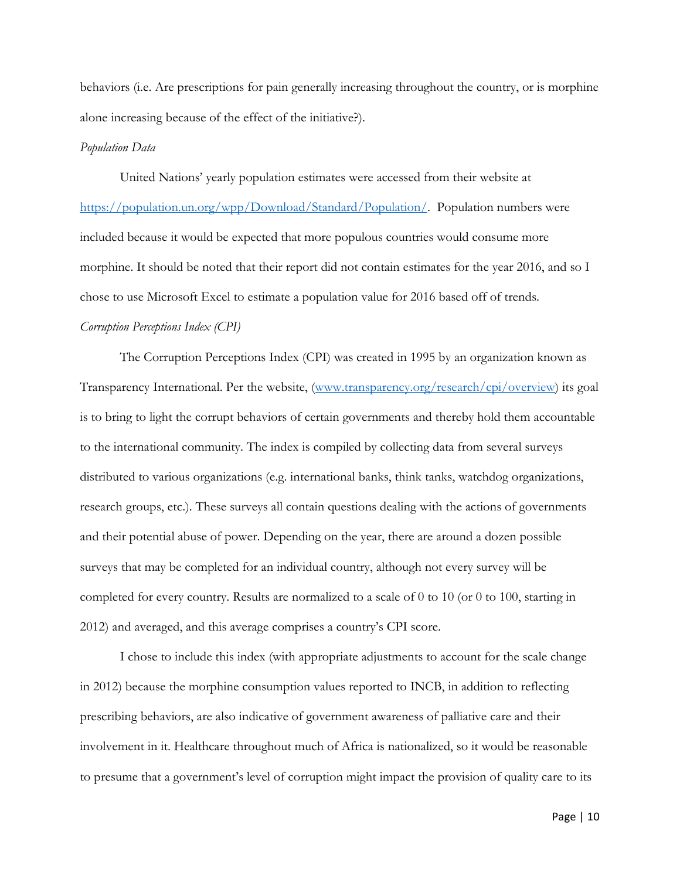behaviors (i.e. Are prescriptions for pain generally increasing throughout the country, or is morphine alone increasing because of the effect of the initiative?).

#### *Population Data*

United Nations' yearly population estimates were accessed from their website at [https://population.un.org/wpp/Download/Standard/Population/.](https://population.un.org/wpp/Download/Standard/Population/) Population numbers were included because it would be expected that more populous countries would consume more morphine. It should be noted that their report did not contain estimates for the year 2016, and so I chose to use Microsoft Excel to estimate a population value for 2016 based off of trends. *Corruption Perceptions Index (CPI)*

The Corruption Perceptions Index (CPI) was created in 1995 by an organization known as Transparency International. Per the website, [\(www.transparency.org/research/cpi/overview\)](http://www.transparency.org/research/cpi/overview) its goal is to bring to light the corrupt behaviors of certain governments and thereby hold them accountable to the international community. The index is compiled by collecting data from several surveys distributed to various organizations (e.g. international banks, think tanks, watchdog organizations, research groups, etc.). These surveys all contain questions dealing with the actions of governments and their potential abuse of power. Depending on the year, there are around a dozen possible surveys that may be completed for an individual country, although not every survey will be completed for every country. Results are normalized to a scale of 0 to 10 (or 0 to 100, starting in 2012) and averaged, and this average comprises a country's CPI score.

I chose to include this index (with appropriate adjustments to account for the scale change in 2012) because the morphine consumption values reported to INCB, in addition to reflecting prescribing behaviors, are also indicative of government awareness of palliative care and their involvement in it. Healthcare throughout much of Africa is nationalized, so it would be reasonable to presume that a government's level of corruption might impact the provision of quality care to its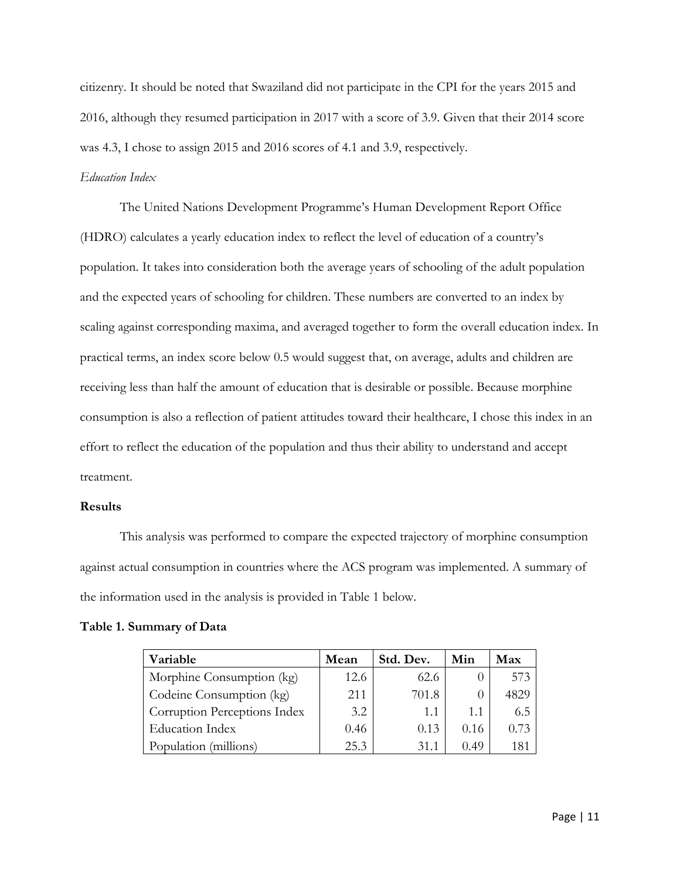citizenry. It should be noted that Swaziland did not participate in the CPI for the years 2015 and 2016, although they resumed participation in 2017 with a score of 3.9. Given that their 2014 score was 4.3, I chose to assign 2015 and 2016 scores of 4.1 and 3.9, respectively.

## *Education Index*

The United Nations Development Programme's Human Development Report Office (HDRO) calculates a yearly education index to reflect the level of education of a country's population. It takes into consideration both the average years of schooling of the adult population and the expected years of schooling for children. These numbers are converted to an index by scaling against corresponding maxima, and averaged together to form the overall education index. In practical terms, an index score below 0.5 would suggest that, on average, adults and children are receiving less than half the amount of education that is desirable or possible. Because morphine consumption is also a reflection of patient attitudes toward their healthcare, I chose this index in an effort to reflect the education of the population and thus their ability to understand and accept treatment.

## **Results**

This analysis was performed to compare the expected trajectory of morphine consumption against actual consumption in countries where the ACS program was implemented. A summary of the information used in the analysis is provided in Table 1 below.

| Variable                     | Mean | Std. Dev. | Min  | Max  |
|------------------------------|------|-----------|------|------|
| Morphine Consumption (kg)    | 12.6 | 62.6      |      | 573  |
| Codeine Consumption (kg)     | 211  | 701.8     |      | 4829 |
| Corruption Perceptions Index | 3.2  | 1.1       | 1.1  | 6.5  |
| <b>Education Index</b>       | 0.46 | 0.13      | 0.16 | 0.73 |
| Population (millions)        | 25.3 | 31.1      | 0.49 | 181  |

## **Table 1. Summary of Data**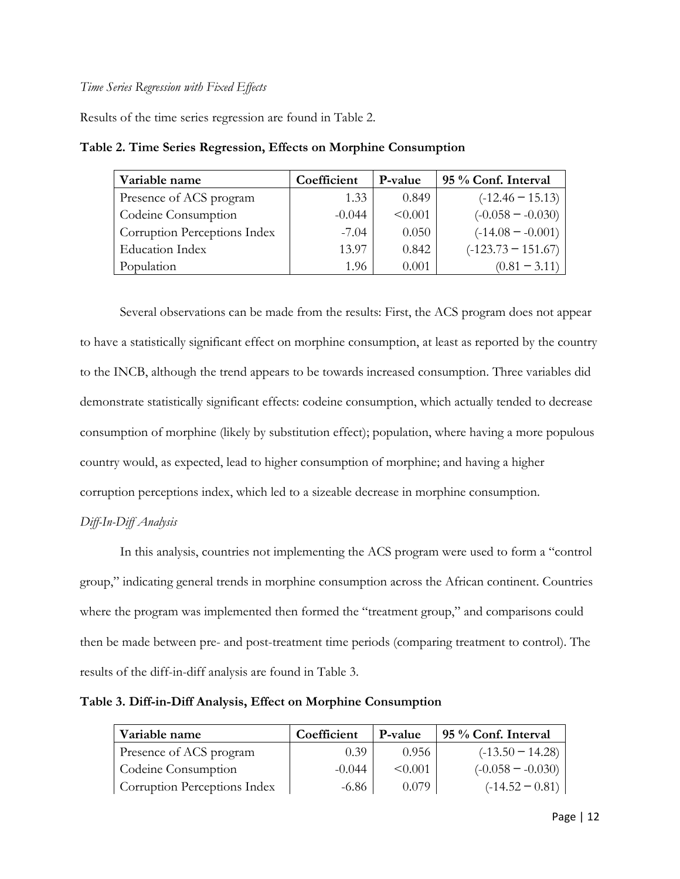## *Time Series Regression with Fixed Effects*

Results of the time series regression are found in Table 2.

| Variable name                | Coefficient | P-value | 95 % Conf. Interval  |
|------------------------------|-------------|---------|----------------------|
| Presence of ACS program      | 1.33        | 0.849   | $(-12.46 - 15.13)$   |
| Codeine Consumption          | $-0.044$    | < 0.001 | $(-0.058 - 0.030)$   |
| Corruption Perceptions Index | $-7.04$     | 0.050   | $(-14.08 - -0.001)$  |
| <b>Education Index</b>       | 13.97       | 0.842   | $(-123.73 - 151.67)$ |
| Population                   | 1.96        | 0.001   | $(0.81 - 3.11)$      |

**Table 2. Time Series Regression, Effects on Morphine Consumption**

Several observations can be made from the results: First, the ACS program does not appear to have a statistically significant effect on morphine consumption, at least as reported by the country to the INCB, although the trend appears to be towards increased consumption. Three variables did demonstrate statistically significant effects: codeine consumption, which actually tended to decrease consumption of morphine (likely by substitution effect); population, where having a more populous country would, as expected, lead to higher consumption of morphine; and having a higher corruption perceptions index, which led to a sizeable decrease in morphine consumption.

# *Diff-In-Diff Analysis*

In this analysis, countries not implementing the ACS program were used to form a "control group," indicating general trends in morphine consumption across the African continent. Countries where the program was implemented then formed the "treatment group," and comparisons could then be made between pre- and post-treatment time periods (comparing treatment to control). The results of the diff-in-diff analysis are found in Table 3.

**Table 3. Diff-in-Diff Analysis, Effect on Morphine Consumption**

| Variable name                | Coefficient | P-value      | 95 % Conf. Interval |
|------------------------------|-------------|--------------|---------------------|
| Presence of ACS program      | 0.39        | 0.956        | $(-13.50 - 14.28)$  |
| Codeine Consumption          | $-0.044$    | $\leq 0.001$ | $(-0.058 - 0.030)$  |
| Corruption Perceptions Index | $-6.86$     | 0.079        | $(-14.52 - 0.81)$   |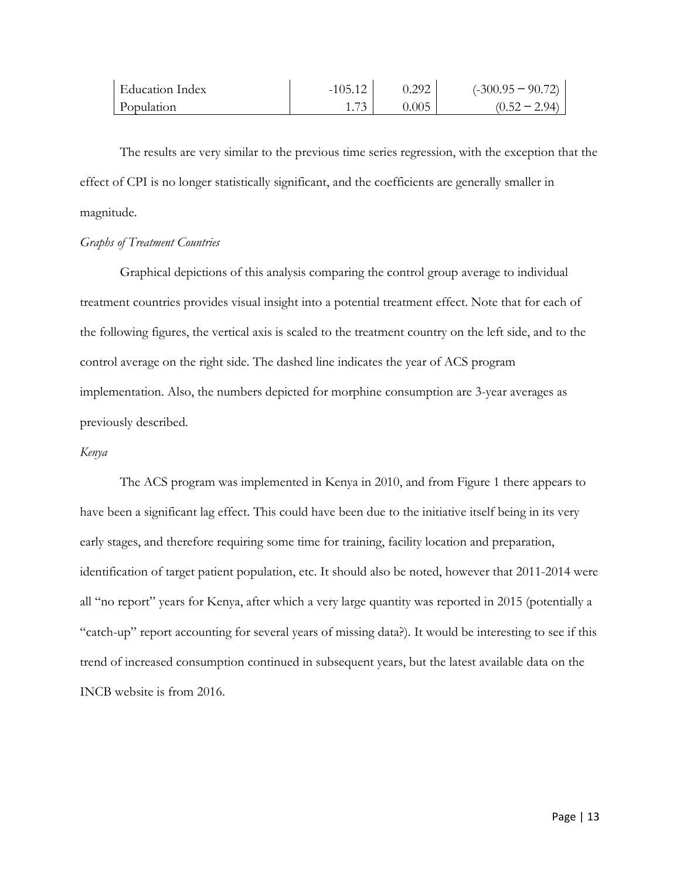| <b>Education Index</b> | $-105.12$ | 0.292 | $(-300.95 - 90.72)$ |
|------------------------|-----------|-------|---------------------|
| Population             |           | 0.005 | $(0.52 - 2.94)$     |

The results are very similar to the previous time series regression, with the exception that the effect of CPI is no longer statistically significant, and the coefficients are generally smaller in magnitude.

### *Graphs of Treatment Countries*

Graphical depictions of this analysis comparing the control group average to individual treatment countries provides visual insight into a potential treatment effect. Note that for each of the following figures, the vertical axis is scaled to the treatment country on the left side, and to the control average on the right side. The dashed line indicates the year of ACS program implementation. Also, the numbers depicted for morphine consumption are 3-year averages as previously described.

## *Kenya*

The ACS program was implemented in Kenya in 2010, and from Figure 1 there appears to have been a significant lag effect. This could have been due to the initiative itself being in its very early stages, and therefore requiring some time for training, facility location and preparation, identification of target patient population, etc. It should also be noted, however that 2011-2014 were all "no report" years for Kenya, after which a very large quantity was reported in 2015 (potentially a "catch-up" report accounting for several years of missing data?). It would be interesting to see if this trend of increased consumption continued in subsequent years, but the latest available data on the INCB website is from 2016.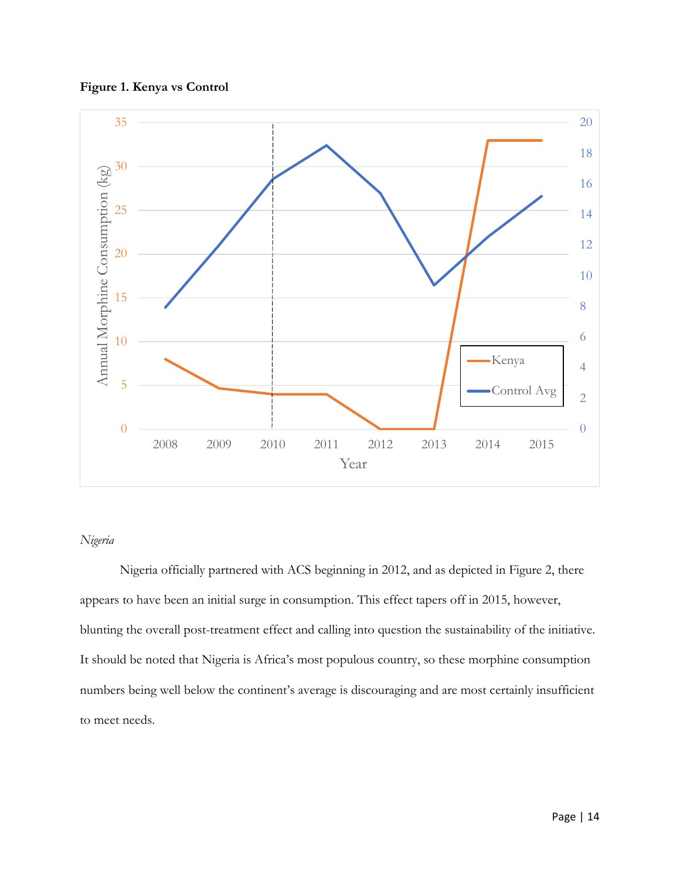



# *Nigeria*

Nigeria officially partnered with ACS beginning in 2012, and as depicted in Figure 2, there appears to have been an initial surge in consumption. This effect tapers off in 2015, however, blunting the overall post-treatment effect and calling into question the sustainability of the initiative. It should be noted that Nigeria is Africa's most populous country, so these morphine consumption numbers being well below the continent's average is discouraging and are most certainly insufficient to meet needs.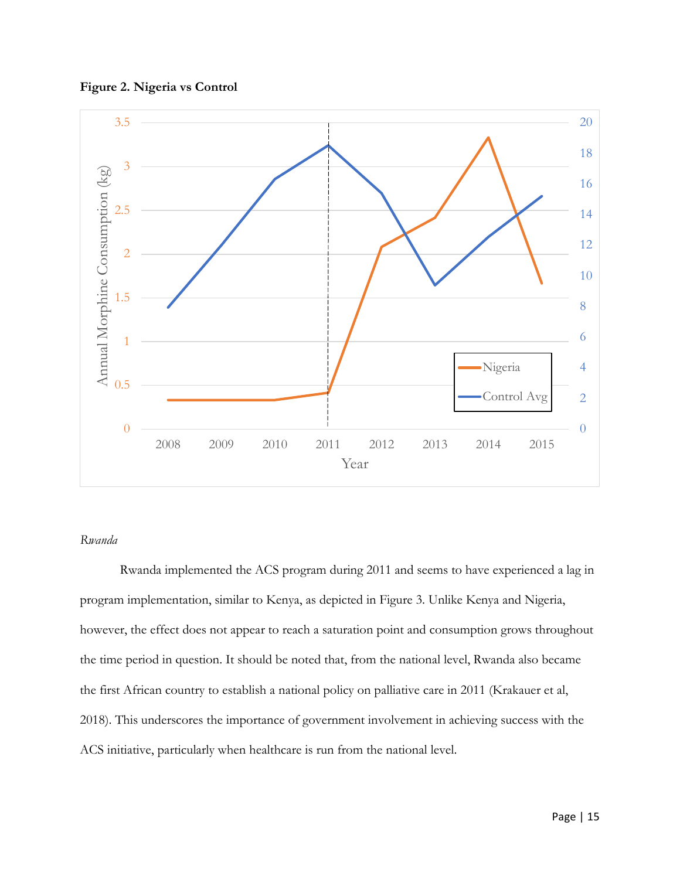**Figure 2. Nigeria vs Control**



## *Rwanda*

Rwanda implemented the ACS program during 2011 and seems to have experienced a lag in program implementation, similar to Kenya, as depicted in Figure 3. Unlike Kenya and Nigeria, however, the effect does not appear to reach a saturation point and consumption grows throughout the time period in question. It should be noted that, from the national level, Rwanda also became the first African country to establish a national policy on palliative care in 2011 (Krakauer et al, 2018). This underscores the importance of government involvement in achieving success with the ACS initiative, particularly when healthcare is run from the national level.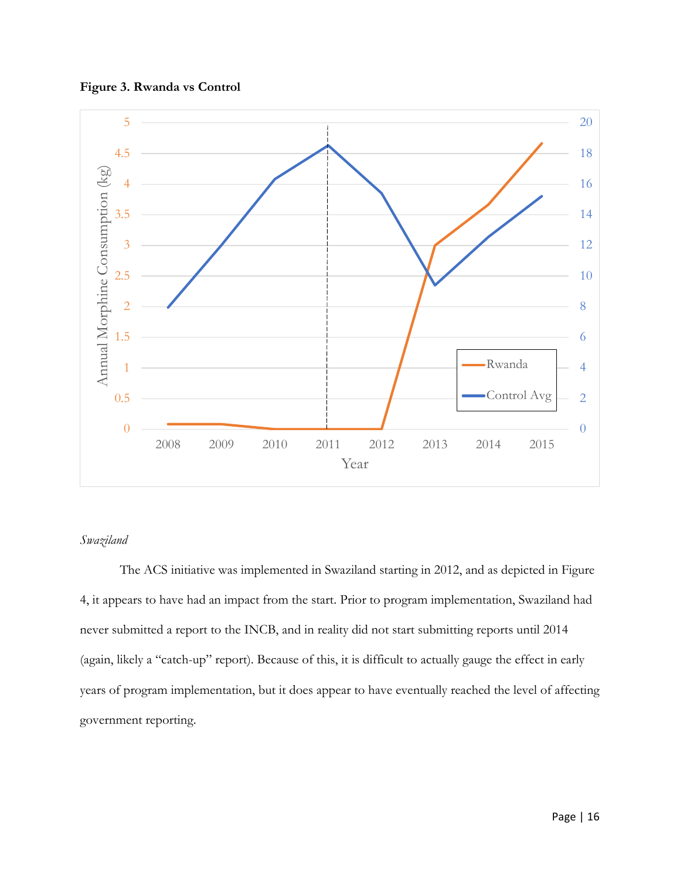



# *Swaziland*

The ACS initiative was implemented in Swaziland starting in 2012, and as depicted in Figure 4, it appears to have had an impact from the start. Prior to program implementation, Swaziland had never submitted a report to the INCB, and in reality did not start submitting reports until 2014 (again, likely a "catch-up" report). Because of this, it is difficult to actually gauge the effect in early years of program implementation, but it does appear to have eventually reached the level of affecting government reporting.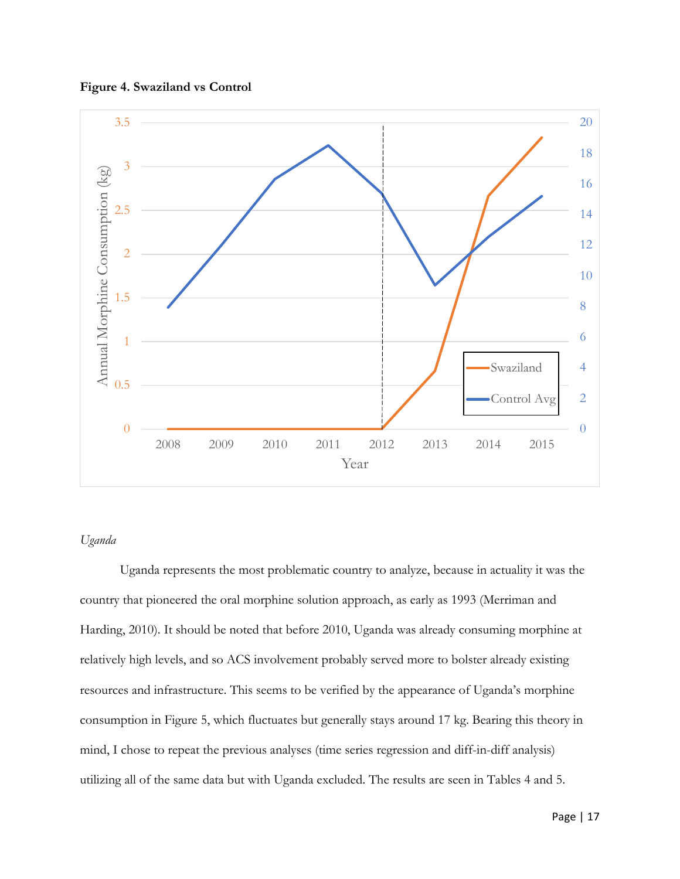



## *Uganda*

Uganda represents the most problematic country to analyze, because in actuality it was the country that pioneered the oral morphine solution approach, as early as 1993 (Merriman and Harding, 2010). It should be noted that before 2010, Uganda was already consuming morphine at relatively high levels, and so ACS involvement probably served more to bolster already existing resources and infrastructure. This seems to be verified by the appearance of Uganda's morphine consumption in Figure 5, which fluctuates but generally stays around 17 kg. Bearing this theory in mind, I chose to repeat the previous analyses (time series regression and diff-in-diff analysis) utilizing all of the same data but with Uganda excluded. The results are seen in Tables 4 and 5.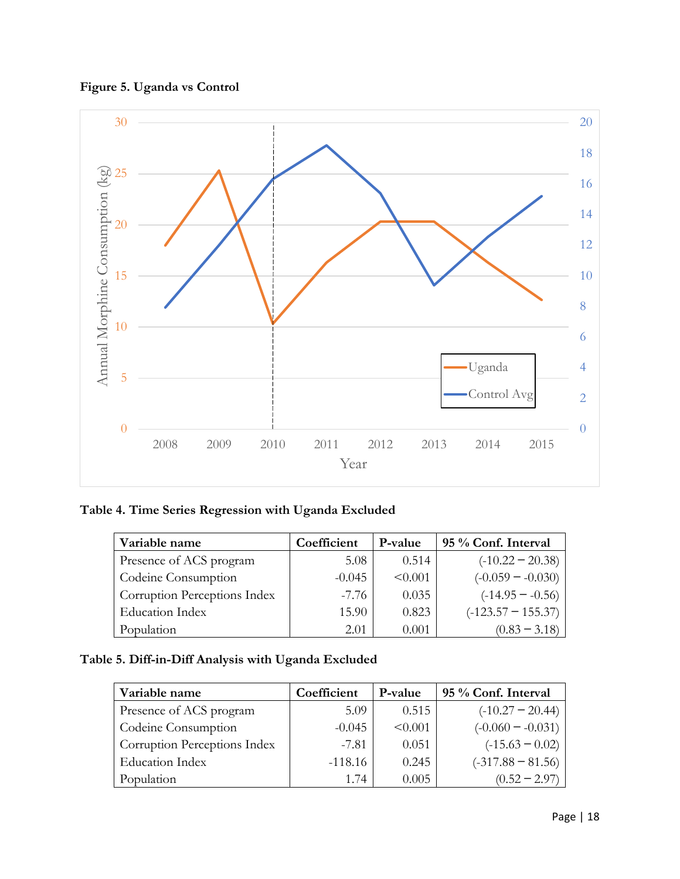



**Table 4. Time Series Regression with Uganda Excluded**

| Variable name                | Coefficient | P-value | 95 % Conf. Interval  |
|------------------------------|-------------|---------|----------------------|
| Presence of ACS program      | 5.08        | 0.514   | $(-10.22 - 20.38)$   |
| Codeine Consumption          | $-0.045$    | < 0.001 | $(-0.059 - 0.030)$   |
| Corruption Perceptions Index | -7.76       | 0.035   | $(-14.95 - -0.56)$   |
| <b>Education Index</b>       | 15.90       | 0.823   | $(-123.57 - 155.37)$ |
| Population                   | 2.01        | 0.001   | $(0.83 - 3.18)$      |

# **Table 5. Diff-in-Diff Analysis with Uganda Excluded**

| Variable name                | Coefficient | P-value | 95 % Conf. Interval |
|------------------------------|-------------|---------|---------------------|
| Presence of ACS program      | 5.09        | 0.515   | $(-10.27 - 20.44)$  |
| Codeine Consumption          | $-0.045$    | < 0.001 | $(-0.060 - 0.031)$  |
| Corruption Perceptions Index | $-7.81$     | 0.051   | $(-15.63 - 0.02)$   |
| <b>Education Index</b>       | $-118.16$   | 0.245   | $(-317.88 - 81.56)$ |
| Population                   | 1.74        | 0.005   | $(0.52 - 2.97)$     |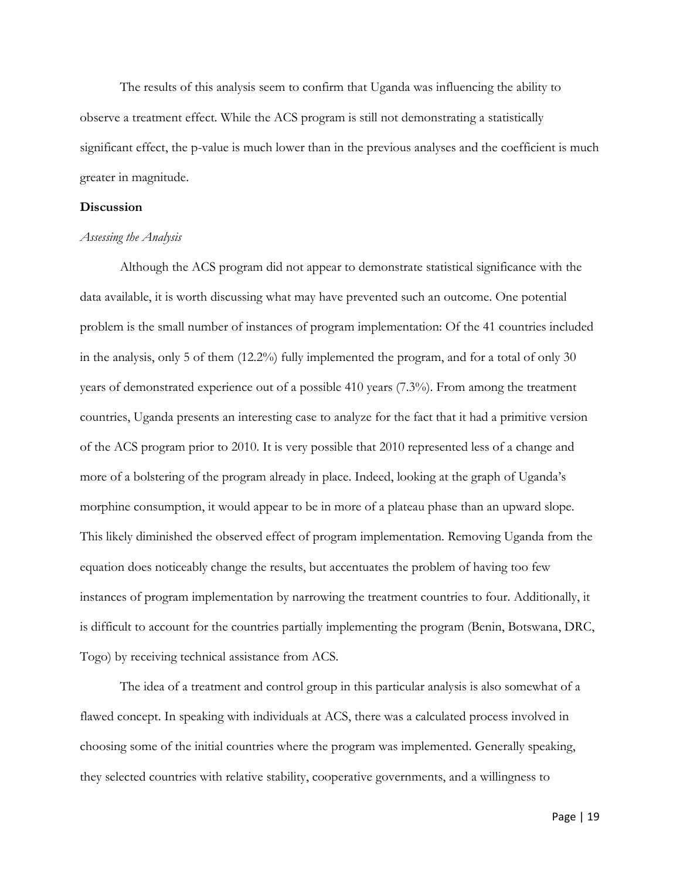The results of this analysis seem to confirm that Uganda was influencing the ability to observe a treatment effect. While the ACS program is still not demonstrating a statistically significant effect, the p-value is much lower than in the previous analyses and the coefficient is much greater in magnitude.

### **Discussion**

#### *Assessing the Analysis*

Although the ACS program did not appear to demonstrate statistical significance with the data available, it is worth discussing what may have prevented such an outcome. One potential problem is the small number of instances of program implementation: Of the 41 countries included in the analysis, only 5 of them (12.2%) fully implemented the program, and for a total of only 30 years of demonstrated experience out of a possible 410 years (7.3%). From among the treatment countries, Uganda presents an interesting case to analyze for the fact that it had a primitive version of the ACS program prior to 2010. It is very possible that 2010 represented less of a change and more of a bolstering of the program already in place. Indeed, looking at the graph of Uganda's morphine consumption, it would appear to be in more of a plateau phase than an upward slope. This likely diminished the observed effect of program implementation. Removing Uganda from the equation does noticeably change the results, but accentuates the problem of having too few instances of program implementation by narrowing the treatment countries to four. Additionally, it is difficult to account for the countries partially implementing the program (Benin, Botswana, DRC, Togo) by receiving technical assistance from ACS.

The idea of a treatment and control group in this particular analysis is also somewhat of a flawed concept. In speaking with individuals at ACS, there was a calculated process involved in choosing some of the initial countries where the program was implemented. Generally speaking, they selected countries with relative stability, cooperative governments, and a willingness to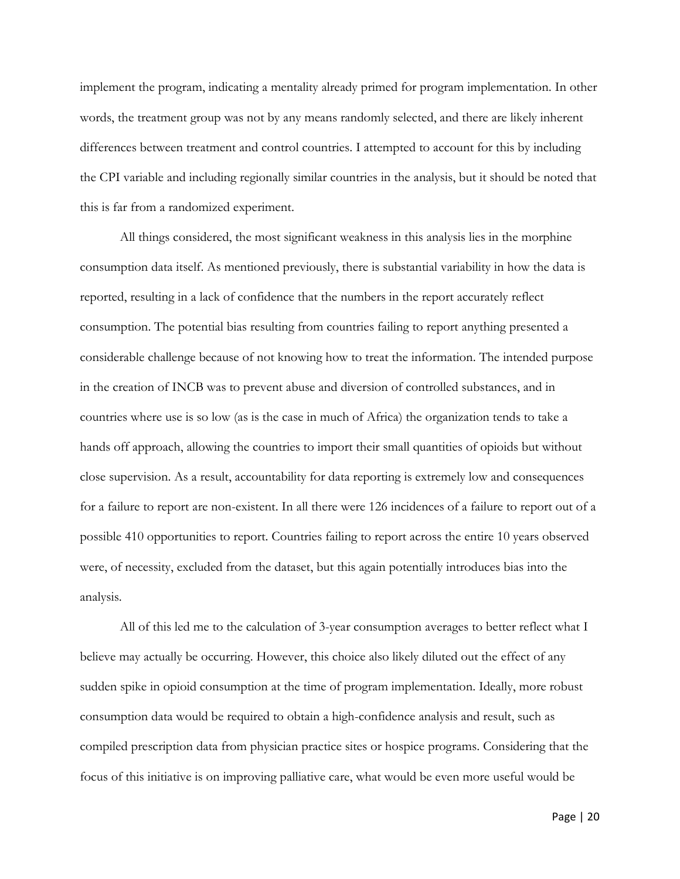implement the program, indicating a mentality already primed for program implementation. In other words, the treatment group was not by any means randomly selected, and there are likely inherent differences between treatment and control countries. I attempted to account for this by including the CPI variable and including regionally similar countries in the analysis, but it should be noted that this is far from a randomized experiment.

All things considered, the most significant weakness in this analysis lies in the morphine consumption data itself. As mentioned previously, there is substantial variability in how the data is reported, resulting in a lack of confidence that the numbers in the report accurately reflect consumption. The potential bias resulting from countries failing to report anything presented a considerable challenge because of not knowing how to treat the information. The intended purpose in the creation of INCB was to prevent abuse and diversion of controlled substances, and in countries where use is so low (as is the case in much of Africa) the organization tends to take a hands off approach, allowing the countries to import their small quantities of opioids but without close supervision. As a result, accountability for data reporting is extremely low and consequences for a failure to report are non-existent. In all there were 126 incidences of a failure to report out of a possible 410 opportunities to report. Countries failing to report across the entire 10 years observed were, of necessity, excluded from the dataset, but this again potentially introduces bias into the analysis.

All of this led me to the calculation of 3-year consumption averages to better reflect what I believe may actually be occurring. However, this choice also likely diluted out the effect of any sudden spike in opioid consumption at the time of program implementation. Ideally, more robust consumption data would be required to obtain a high-confidence analysis and result, such as compiled prescription data from physician practice sites or hospice programs. Considering that the focus of this initiative is on improving palliative care, what would be even more useful would be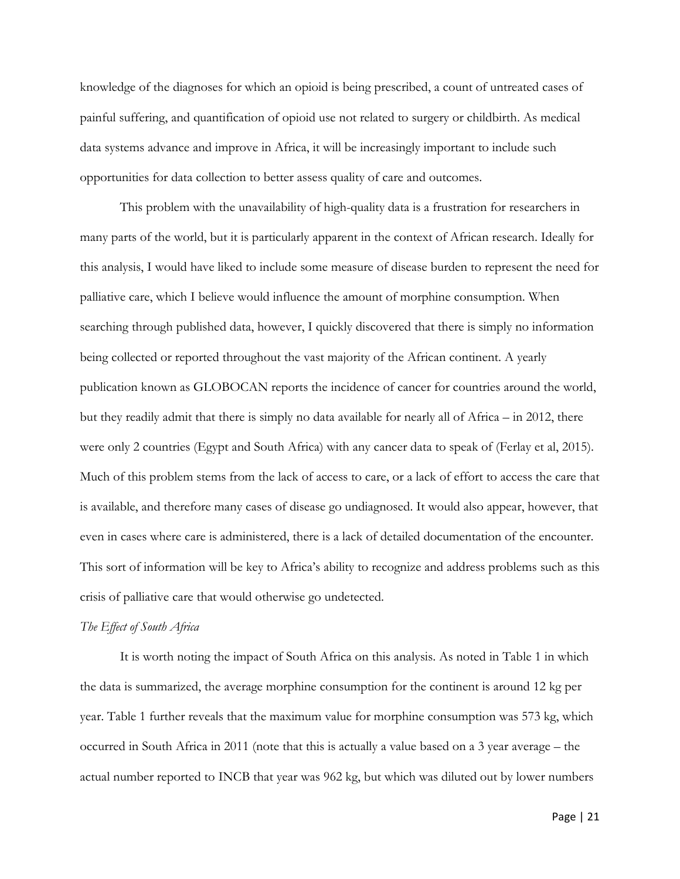knowledge of the diagnoses for which an opioid is being prescribed, a count of untreated cases of painful suffering, and quantification of opioid use not related to surgery or childbirth. As medical data systems advance and improve in Africa, it will be increasingly important to include such opportunities for data collection to better assess quality of care and outcomes.

This problem with the unavailability of high-quality data is a frustration for researchers in many parts of the world, but it is particularly apparent in the context of African research. Ideally for this analysis, I would have liked to include some measure of disease burden to represent the need for palliative care, which I believe would influence the amount of morphine consumption. When searching through published data, however, I quickly discovered that there is simply no information being collected or reported throughout the vast majority of the African continent. A yearly publication known as GLOBOCAN reports the incidence of cancer for countries around the world, but they readily admit that there is simply no data available for nearly all of Africa – in 2012, there were only 2 countries (Egypt and South Africa) with any cancer data to speak of (Ferlay et al, 2015). Much of this problem stems from the lack of access to care, or a lack of effort to access the care that is available, and therefore many cases of disease go undiagnosed. It would also appear, however, that even in cases where care is administered, there is a lack of detailed documentation of the encounter. This sort of information will be key to Africa's ability to recognize and address problems such as this crisis of palliative care that would otherwise go undetected.

#### *The Effect of South Africa*

It is worth noting the impact of South Africa on this analysis. As noted in Table 1 in which the data is summarized, the average morphine consumption for the continent is around 12 kg per year. Table 1 further reveals that the maximum value for morphine consumption was 573 kg, which occurred in South Africa in 2011 (note that this is actually a value based on a 3 year average – the actual number reported to INCB that year was 962 kg, but which was diluted out by lower numbers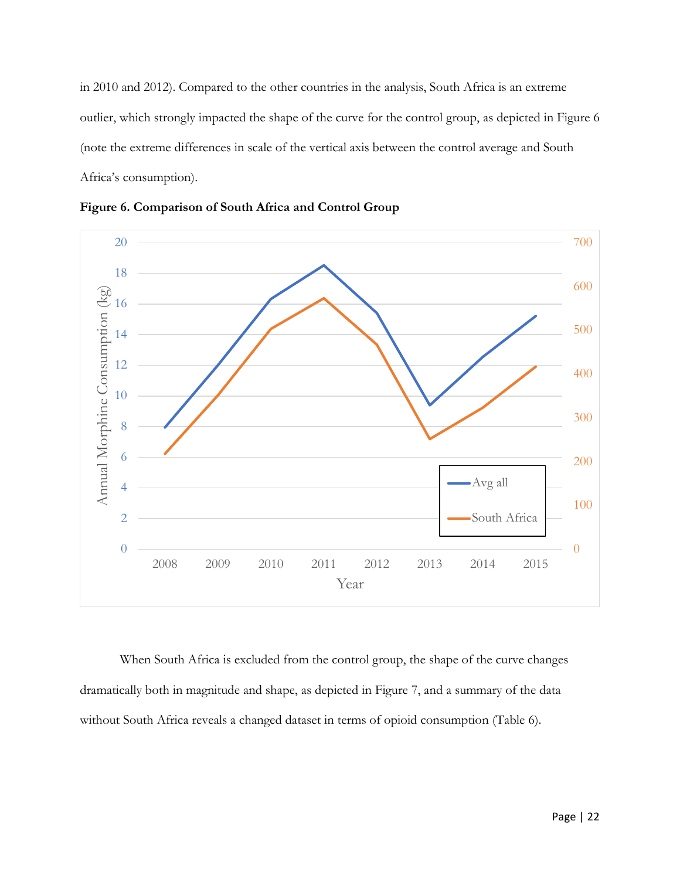in 2010 and 2012). Compared to the other countries in the analysis, South Africa is an extreme outlier, which strongly impacted the shape of the curve for the control group, as depicted in Figure 6 (note the extreme differences in scale of the vertical axis between the control average and South Africa's consumption).



**Figure 6. Comparison of South Africa and Control Group**

When South Africa is excluded from the control group, the shape of the curve changes dramatically both in magnitude and shape, as depicted in Figure 7, and a summary of the data without South Africa reveals a changed dataset in terms of opioid consumption (Table 6).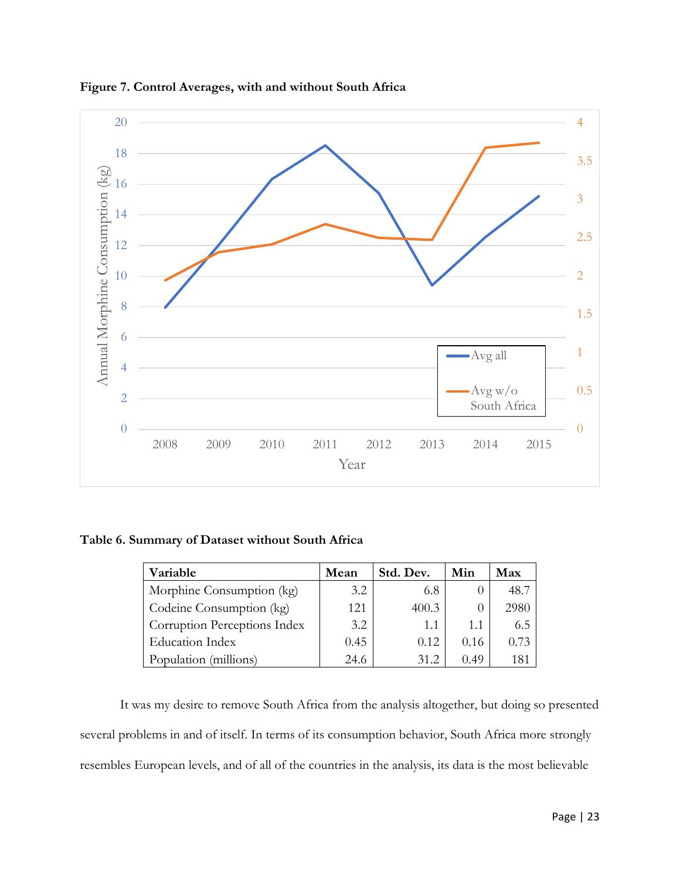

**Figure 7. Control Averages, with and without South Africa**

**Table 6. Summary of Dataset without South Africa**

| Variable                     | Mean | Std. Dev. | Min  | Max  |
|------------------------------|------|-----------|------|------|
| Morphine Consumption (kg)    | 3.2  | 6.8       |      | 48.7 |
| Codeine Consumption (kg)     | 121  | 400.3     |      | 2980 |
| Corruption Perceptions Index | 3.2  | 1.1       | 1.1  | 6.5  |
| <b>Education Index</b>       | 0.45 | 0.12      | 0.16 | 0.73 |
| Population (millions)        | 24.6 | 31.2      | 0.49 | 181  |

It was my desire to remove South Africa from the analysis altogether, but doing so presented several problems in and of itself. In terms of its consumption behavior, South Africa more strongly resembles European levels, and of all of the countries in the analysis, its data is the most believable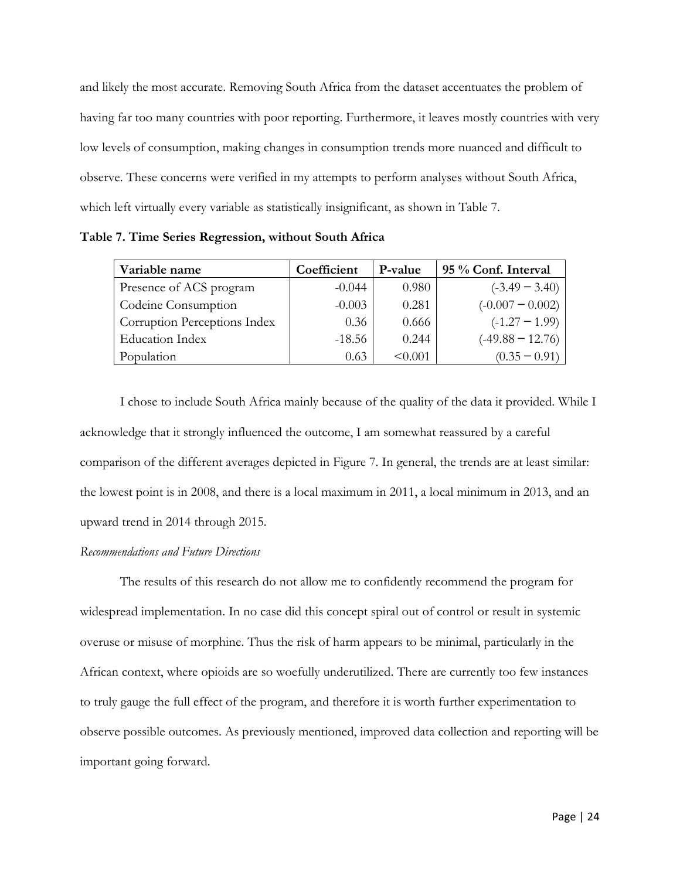and likely the most accurate. Removing South Africa from the dataset accentuates the problem of having far too many countries with poor reporting. Furthermore, it leaves mostly countries with very low levels of consumption, making changes in consumption trends more nuanced and difficult to observe. These concerns were verified in my attempts to perform analyses without South Africa, which left virtually every variable as statistically insignificant, as shown in Table 7.

| Variable name                | Coefficient | P-value | 95 % Conf. Interval |
|------------------------------|-------------|---------|---------------------|
| Presence of ACS program      | $-0.044$    | 0.980   | $(-3.49 - 3.40)$    |
| Codeine Consumption          | $-0.003$    | 0.281   | $(-0.007 - 0.002)$  |
| Corruption Perceptions Index | 0.36        | 0.666   | $(-1.27 - 1.99)$    |
| <b>Education Index</b>       | $-18.56$    | 0.244   | $(-49.88 - 12.76)$  |
| Population                   | 0.63        | < 0.001 | $(0.35 - 0.91)$     |

**Table 7. Time Series Regression, without South Africa**

I chose to include South Africa mainly because of the quality of the data it provided. While I acknowledge that it strongly influenced the outcome, I am somewhat reassured by a careful comparison of the different averages depicted in Figure 7. In general, the trends are at least similar: the lowest point is in 2008, and there is a local maximum in 2011, a local minimum in 2013, and an upward trend in 2014 through 2015.

#### *Recommendations and Future Directions*

The results of this research do not allow me to confidently recommend the program for widespread implementation. In no case did this concept spiral out of control or result in systemic overuse or misuse of morphine. Thus the risk of harm appears to be minimal, particularly in the African context, where opioids are so woefully underutilized. There are currently too few instances to truly gauge the full effect of the program, and therefore it is worth further experimentation to observe possible outcomes. As previously mentioned, improved data collection and reporting will be important going forward.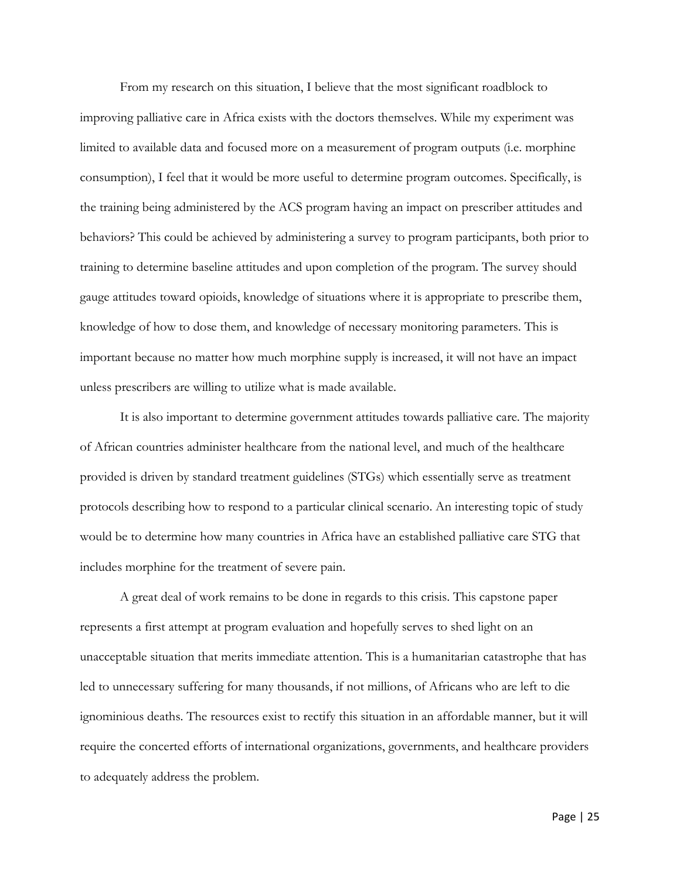From my research on this situation, I believe that the most significant roadblock to improving palliative care in Africa exists with the doctors themselves. While my experiment was limited to available data and focused more on a measurement of program outputs (i.e. morphine consumption), I feel that it would be more useful to determine program outcomes. Specifically, is the training being administered by the ACS program having an impact on prescriber attitudes and behaviors? This could be achieved by administering a survey to program participants, both prior to training to determine baseline attitudes and upon completion of the program. The survey should gauge attitudes toward opioids, knowledge of situations where it is appropriate to prescribe them, knowledge of how to dose them, and knowledge of necessary monitoring parameters. This is important because no matter how much morphine supply is increased, it will not have an impact unless prescribers are willing to utilize what is made available.

It is also important to determine government attitudes towards palliative care. The majority of African countries administer healthcare from the national level, and much of the healthcare provided is driven by standard treatment guidelines (STGs) which essentially serve as treatment protocols describing how to respond to a particular clinical scenario. An interesting topic of study would be to determine how many countries in Africa have an established palliative care STG that includes morphine for the treatment of severe pain.

A great deal of work remains to be done in regards to this crisis. This capstone paper represents a first attempt at program evaluation and hopefully serves to shed light on an unacceptable situation that merits immediate attention. This is a humanitarian catastrophe that has led to unnecessary suffering for many thousands, if not millions, of Africans who are left to die ignominious deaths. The resources exist to rectify this situation in an affordable manner, but it will require the concerted efforts of international organizations, governments, and healthcare providers to adequately address the problem.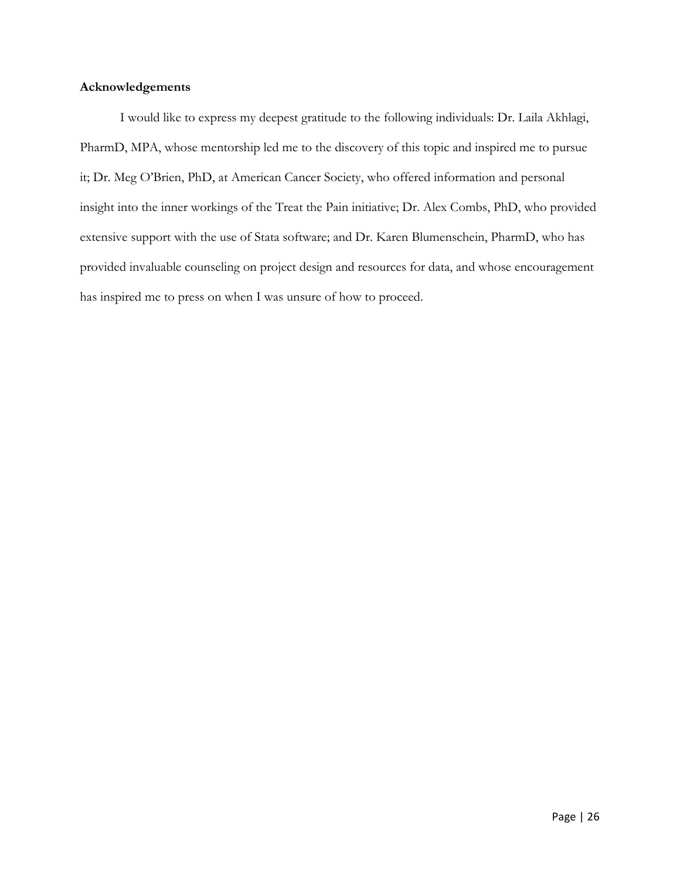## **Acknowledgements**

I would like to express my deepest gratitude to the following individuals: Dr. Laila Akhlagi, PharmD, MPA, whose mentorship led me to the discovery of this topic and inspired me to pursue it; Dr. Meg O'Brien, PhD, at American Cancer Society, who offered information and personal insight into the inner workings of the Treat the Pain initiative; Dr. Alex Combs, PhD, who provided extensive support with the use of Stata software; and Dr. Karen Blumenschein, PharmD, who has provided invaluable counseling on project design and resources for data, and whose encouragement has inspired me to press on when I was unsure of how to proceed.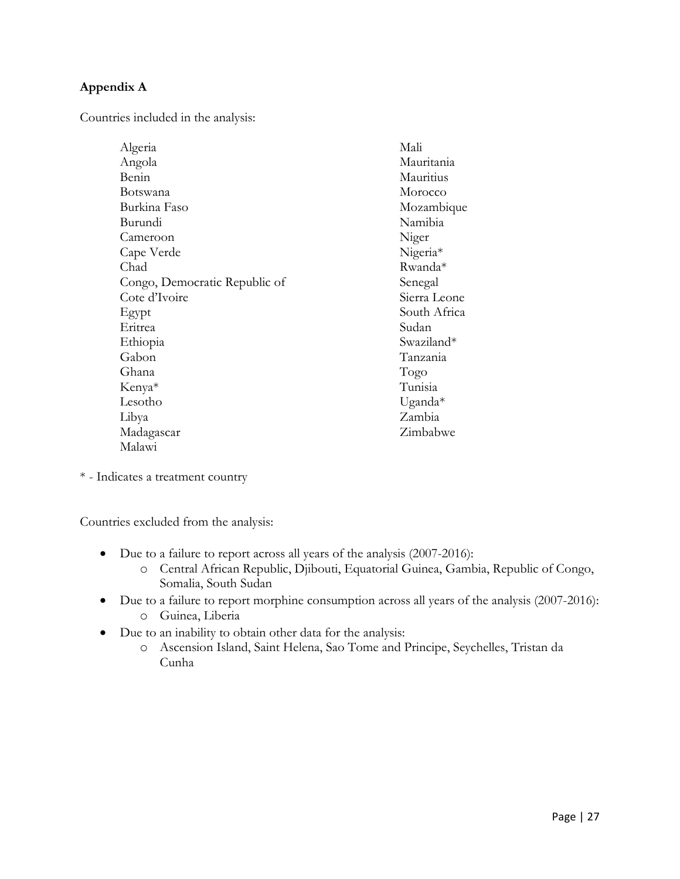# **Appendix A**

Countries included in the analysis:

| Algeria                       | Mali         |
|-------------------------------|--------------|
| Angola                        | Mauritania   |
| Benin                         | Mauritius    |
| Botswana                      | Morocco      |
| Burkina Faso                  | Mozambique   |
| Burundi                       | Namibia      |
| Cameroon                      | Niger        |
| Cape Verde                    | Nigeria*     |
| Chad                          | Rwanda*      |
| Congo, Democratic Republic of | Senegal      |
| Cote d'Ivoire                 | Sierra Leone |
| Egypt                         | South Africa |
| Eritrea                       | Sudan        |
| Ethiopia                      | Swaziland*   |
| Gabon                         | Tanzania     |
| Ghana                         | Togo         |
| Kenya*                        | Tunisia      |
| Lesotho                       | Uganda $*$   |
| Libya                         | Zambia       |
| Madagascar                    | Zimbabwe     |
| Malawi                        |              |

\* - Indicates a treatment country

Countries excluded from the analysis:

- Due to a failure to report across all years of the analysis (2007-2016):
	- o Central African Republic, Djibouti, Equatorial Guinea, Gambia, Republic of Congo, Somalia, South Sudan
- Due to a failure to report morphine consumption across all years of the analysis (2007-2016): o Guinea, Liberia
- Due to an inability to obtain other data for the analysis:
	- o Ascension Island, Saint Helena, Sao Tome and Principe, Seychelles, Tristan da Cunha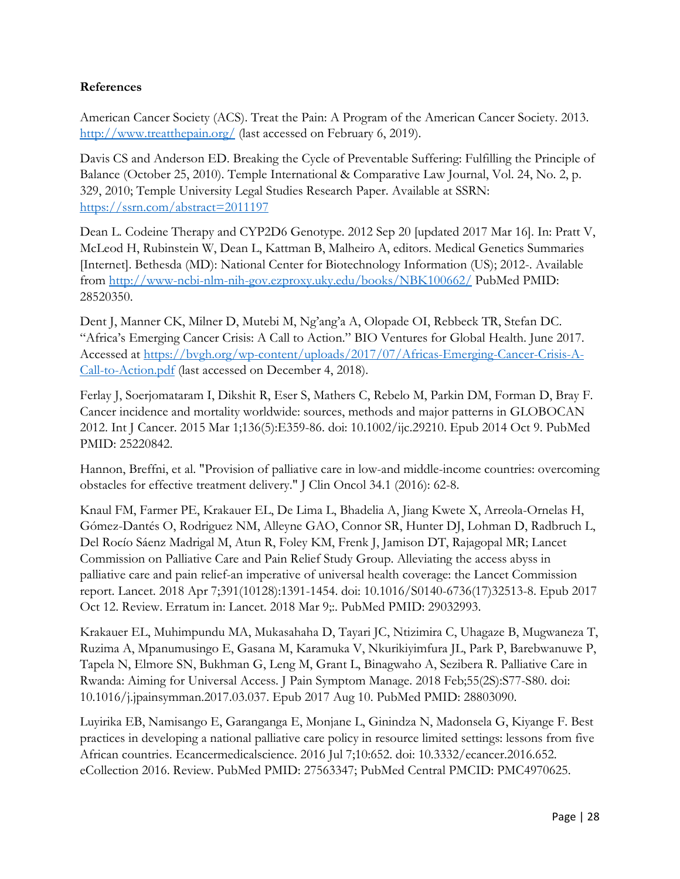# **References**

American Cancer Society (ACS). Treat the Pain: A Program of the American Cancer Society. 2013. <http://www.treatthepain.org/> (last accessed on February 6, 2019).

Davis CS and Anderson ED. Breaking the Cycle of Preventable Suffering: Fulfilling the Principle of Balance (October 25, 2010). Temple International & Comparative Law Journal, Vol. 24, No. 2, p. 329, 2010; Temple University Legal Studies Research Paper. Available at SSRN: <https://ssrn.com/abstract=2011197>

Dean L. Codeine Therapy and CYP2D6 Genotype. 2012 Sep 20 [updated 2017 Mar 16]. In: Pratt V, McLeod H, Rubinstein W, Dean L, Kattman B, Malheiro A, editors. Medical Genetics Summaries [Internet]. Bethesda (MD): National Center for Biotechnology Information (US); 2012-. Available from <http://www-ncbi-nlm-nih-gov.ezproxy.uky.edu/books/NBK100662/> PubMed PMID: 28520350.

Dent J, Manner CK, Milner D, Mutebi M, Ng'ang'a A, Olopade OI, Rebbeck TR, Stefan DC. "Africa's Emerging Cancer Crisis: A Call to Action." BIO Ventures for Global Health. June 2017. Accessed at [https://bvgh.org/wp-content/uploads/2017/07/Africas-Emerging-Cancer-Crisis-A-](https://bvgh.org/wp-content/uploads/2017/07/Africas-Emerging-Cancer-Crisis-A-Call-to-Action.pdf)[Call-to-Action.pdf](https://bvgh.org/wp-content/uploads/2017/07/Africas-Emerging-Cancer-Crisis-A-Call-to-Action.pdf) (last accessed on December 4, 2018).

Ferlay J, Soerjomataram I, Dikshit R, Eser S, Mathers C, Rebelo M, Parkin DM, Forman D, Bray F. Cancer incidence and mortality worldwide: sources, methods and major patterns in GLOBOCAN 2012. Int J Cancer. 2015 Mar 1;136(5):E359-86. doi: 10.1002/ijc.29210. Epub 2014 Oct 9. PubMed PMID: 25220842.

Hannon, Breffni, et al. "Provision of palliative care in low-and middle-income countries: overcoming obstacles for effective treatment delivery." J Clin Oncol 34.1 (2016): 62-8.

Knaul FM, Farmer PE, Krakauer EL, De Lima L, Bhadelia A, Jiang Kwete X, Arreola-Ornelas H, Gómez-Dantés O, Rodriguez NM, Alleyne GAO, Connor SR, Hunter DJ, Lohman D, Radbruch L, Del Rocío Sáenz Madrigal M, Atun R, Foley KM, Frenk J, Jamison DT, Rajagopal MR; Lancet Commission on Palliative Care and Pain Relief Study Group. Alleviating the access abyss in palliative care and pain relief-an imperative of universal health coverage: the Lancet Commission report. Lancet. 2018 Apr 7;391(10128):1391-1454. doi: 10.1016/S0140-6736(17)32513-8. Epub 2017 Oct 12. Review. Erratum in: Lancet. 2018 Mar 9;:. PubMed PMID: 29032993.

Krakauer EL, Muhimpundu MA, Mukasahaha D, Tayari JC, Ntizimira C, Uhagaze B, Mugwaneza T, Ruzima A, Mpanumusingo E, Gasana M, Karamuka V, Nkurikiyimfura JL, Park P, Barebwanuwe P, Tapela N, Elmore SN, Bukhman G, Leng M, Grant L, Binagwaho A, Sezibera R. Palliative Care in Rwanda: Aiming for Universal Access. J Pain Symptom Manage. 2018 Feb;55(2S):S77-S80. doi: 10.1016/j.jpainsymman.2017.03.037. Epub 2017 Aug 10. PubMed PMID: 28803090.

Luyirika EB, Namisango E, Garanganga E, Monjane L, Ginindza N, Madonsela G, Kiyange F. Best practices in developing a national palliative care policy in resource limited settings: lessons from five African countries. Ecancermedicalscience. 2016 Jul 7;10:652. doi: 10.3332/ecancer.2016.652. eCollection 2016. Review. PubMed PMID: 27563347; PubMed Central PMCID: PMC4970625.